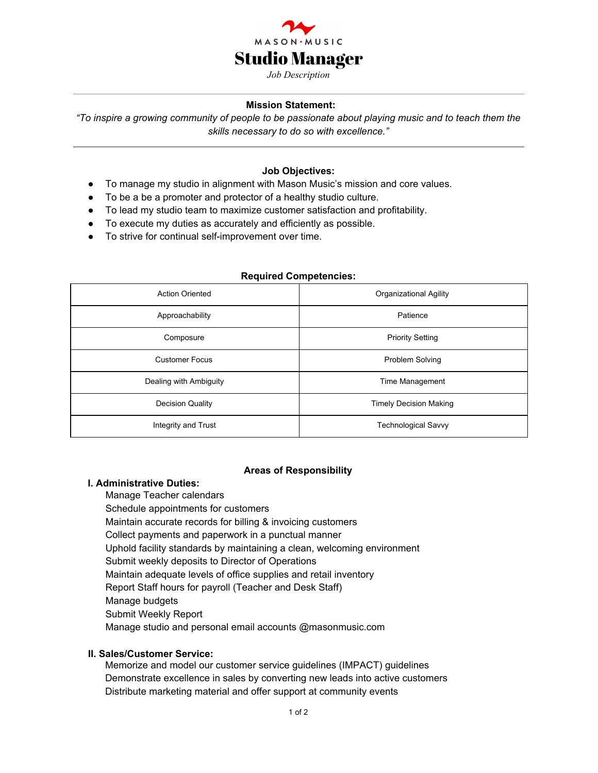

### **Mission Statement:**

*"To inspire a growing community of people to be passionate about playing music and to teach them the skills necessary to do so with excellence."*

### **Job Objectives:**

- To manage my studio in alignment with Mason Music's mission and core values.
- To be a be a promoter and protector of a healthy studio culture.
- To lead my studio team to maximize customer satisfaction and profitability.
- To execute my duties as accurately and efficiently as possible.
- To strive for continual self-improvement over time.

#### **Required Competencies:**

| <b>Action Oriented</b>  | Organizational Agility        |
|-------------------------|-------------------------------|
| Approachability         | Patience                      |
| Composure               | <b>Priority Setting</b>       |
| <b>Customer Focus</b>   | <b>Problem Solving</b>        |
| Dealing with Ambiguity  | Time Management               |
| <b>Decision Quality</b> | <b>Timely Decision Making</b> |
| Integrity and Trust     | <b>Technological Savvy</b>    |

### **Areas of Responsibility**

# **I. Administrative Duties:**

Manage Teacher calendars Schedule appointments for customers Maintain accurate records for billing & invoicing customers Collect payments and paperwork in a punctual manner Uphold facility standards by maintaining a clean, welcoming environment Submit weekly deposits to Director of Operations Maintain adequate levels of office supplies and retail inventory Report Staff hours for payroll (Teacher and Desk Staff) Manage budgets Submit Weekly Report Manage studio and personal email accounts @masonmusic.com

### **II. Sales/Customer Service:**

Memorize and model our customer service guidelines (IMPACT) guidelines Demonstrate excellence in sales by converting new leads into active customers Distribute marketing material and offer support at community events